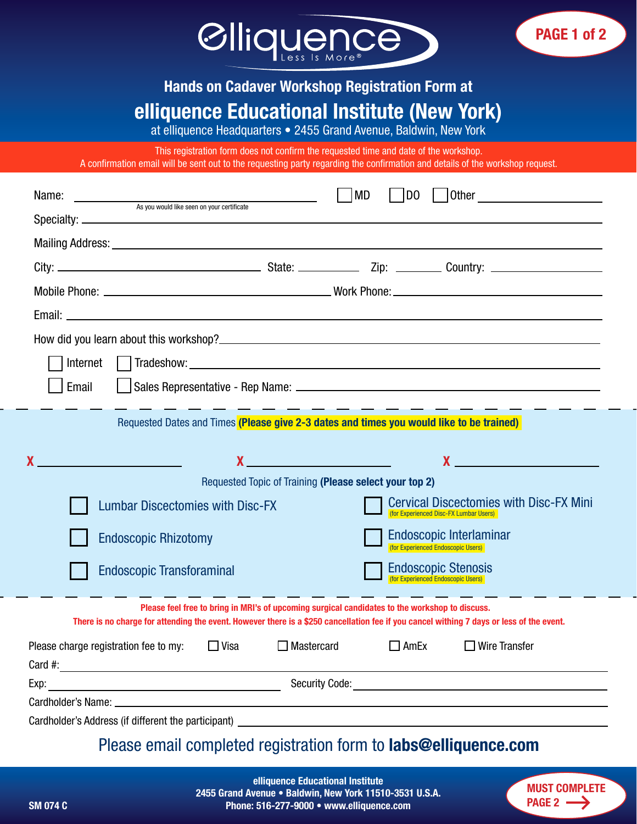

## Hands on Cadaver Workshop Registration Form at elliquence Educational Institute (New York)

at elliquence Headquarters • 2455 Grand Avenue, Baldwin, New York

This registration form does not confirm the requested time and date of the workshop. A confirmation email will be sent out to the requesting party regarding the confirmation and details of the workshop request.

| Name:<br>As you would like seen on your certificate                                                                                                                                                                                                                                                                                                | <b>MD</b><br>D <sub>0</sub>                                                                 |  |  |  |
|----------------------------------------------------------------------------------------------------------------------------------------------------------------------------------------------------------------------------------------------------------------------------------------------------------------------------------------------------|---------------------------------------------------------------------------------------------|--|--|--|
|                                                                                                                                                                                                                                                                                                                                                    |                                                                                             |  |  |  |
|                                                                                                                                                                                                                                                                                                                                                    |                                                                                             |  |  |  |
|                                                                                                                                                                                                                                                                                                                                                    |                                                                                             |  |  |  |
|                                                                                                                                                                                                                                                                                                                                                    |                                                                                             |  |  |  |
|                                                                                                                                                                                                                                                                                                                                                    |                                                                                             |  |  |  |
|                                                                                                                                                                                                                                                                                                                                                    |                                                                                             |  |  |  |
| Internet                                                                                                                                                                                                                                                                                                                                           |                                                                                             |  |  |  |
| Email                                                                                                                                                                                                                                                                                                                                              |                                                                                             |  |  |  |
|                                                                                                                                                                                                                                                                                                                                                    |                                                                                             |  |  |  |
| Requested Dates and Times (Please give 2-3 dates and times you would like to be trained)                                                                                                                                                                                                                                                           |                                                                                             |  |  |  |
|                                                                                                                                                                                                                                                                                                                                                    |                                                                                             |  |  |  |
| $\mathsf{X}$ and the set of the set of the set of the set of the set of the set of the set of the set of the set of the set of the set of the set of the set of the set of the set of the set of the set of the set of the set of                                                                                                                  | $\mathbf x$ and $\mathbf x$ and $\mathbf x$ and $\mathbf x$ and $\mathbf x$ and $\mathbf x$ |  |  |  |
| Requested Topic of Training (Please select your top 2)                                                                                                                                                                                                                                                                                             |                                                                                             |  |  |  |
| <b>Lumbar Discectomies with Disc-FX</b>                                                                                                                                                                                                                                                                                                            | <b>Cervical Discectomies with Disc-FX Mini</b><br>(for Experienced Disc-FX Lumbar Users)    |  |  |  |
| <b>Endoscopic Rhizotomy</b>                                                                                                                                                                                                                                                                                                                        | Endoscopic Interlaminar<br>(for Experienced Endoscopic Users)                               |  |  |  |
| <b>Endoscopic Transforaminal</b>                                                                                                                                                                                                                                                                                                                   | <b>Endoscopic Stenosis</b><br>(for Experienced Endoscopic Users)                            |  |  |  |
| Please feel free to bring in MRI's of upcoming surgical candidates to the workshop to discuss.<br>There is no charge for attending the event. However there is a \$250 cancellation fee if you cancel withing 7 days or less of the event.                                                                                                         |                                                                                             |  |  |  |
| Please charge registration fee to my: $\Box$ Visa<br>Card #: $\frac{1}{2}$ and $\frac{1}{2}$ and $\frac{1}{2}$ and $\frac{1}{2}$ and $\frac{1}{2}$ and $\frac{1}{2}$ and $\frac{1}{2}$ and $\frac{1}{2}$ and $\frac{1}{2}$ and $\frac{1}{2}$ and $\frac{1}{2}$ and $\frac{1}{2}$ and $\frac{1}{2}$ and $\frac{1}{2}$ and $\frac{1}{2}$ and $\frac$ | $\Box$ Mastercard<br>$\Box$ Wire Transfer<br>$\Box$ AmEx                                    |  |  |  |
|                                                                                                                                                                                                                                                                                                                                                    |                                                                                             |  |  |  |
|                                                                                                                                                                                                                                                                                                                                                    |                                                                                             |  |  |  |
|                                                                                                                                                                                                                                                                                                                                                    |                                                                                             |  |  |  |
| Please email completed registration form to <b>labs@elliquence com</b>                                                                                                                                                                                                                                                                             |                                                                                             |  |  |  |

## Please email completed registration form to labs@elliquence.com elliquence Educational Institute

2455 Grand Avenue • Baldwin, New York 11510-3531 U.S.A. SM 074 C Phone: 516-277-9000 • www.elliquence.com



PAGE 1 of 2